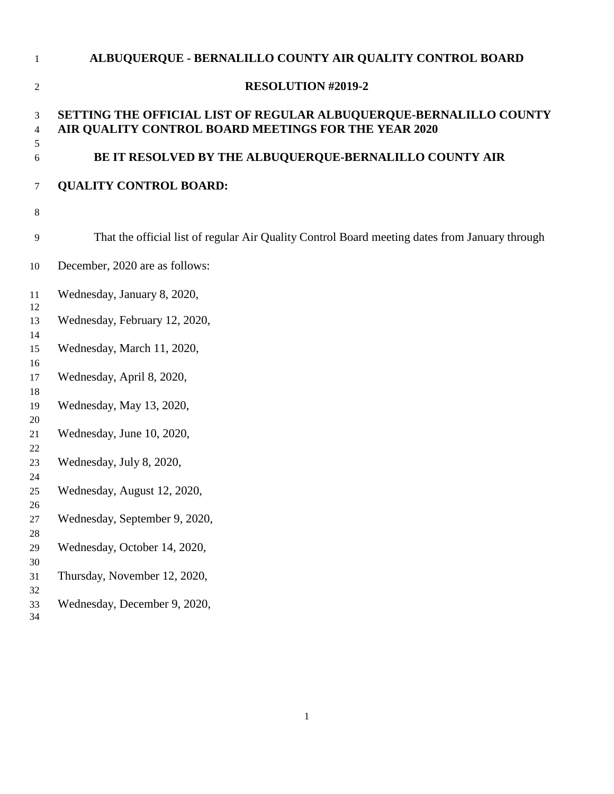| $\mathbf{1}$   | ALBUQUERQUE - BERNALILLO COUNTY AIR QUALITY CONTROL BOARD                                                                  |
|----------------|----------------------------------------------------------------------------------------------------------------------------|
| $\overline{c}$ | <b>RESOLUTION #2019-2</b>                                                                                                  |
| 3<br>4<br>5    | SETTING THE OFFICIAL LIST OF REGULAR ALBUQUERQUE-BERNALILLO COUNTY<br>AIR QUALITY CONTROL BOARD MEETINGS FOR THE YEAR 2020 |
| 6              | BE IT RESOLVED BY THE ALBUQUERQUE-BERNALILLO COUNTY AIR                                                                    |
| 7              | <b>QUALITY CONTROL BOARD:</b>                                                                                              |
| 8              |                                                                                                                            |
| 9              | That the official list of regular Air Quality Control Board meeting dates from January through                             |
| 10             | December, 2020 are as follows:                                                                                             |
| 11<br>12       | Wednesday, January 8, 2020,                                                                                                |
| 13<br>14       | Wednesday, February 12, 2020,                                                                                              |
| 15<br>16       | Wednesday, March 11, 2020,                                                                                                 |
| 17<br>18       | Wednesday, April 8, 2020,                                                                                                  |
| 19<br>20       | Wednesday, May 13, 2020,                                                                                                   |
| 21<br>22       | Wednesday, June 10, 2020,                                                                                                  |
| 23<br>24       | Wednesday, July 8, 2020,                                                                                                   |
| 25<br>26       | Wednesday, August 12, 2020,                                                                                                |
| 27<br>28       | Wednesday, September 9, 2020,                                                                                              |
| 29<br>30       | Wednesday, October 14, 2020,                                                                                               |
| 31<br>32       | Thursday, November 12, 2020,                                                                                               |

- Wednesday, December 9, 2020, 33<br>34
-